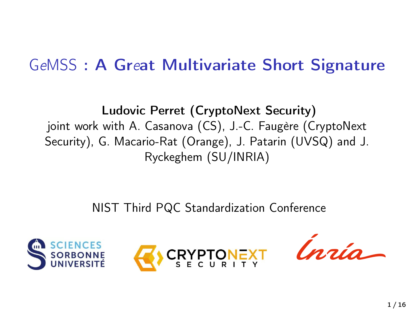# GeMSS : A Great Multivariate Short Signature

Ludovic Perret (CryptoNext Security) joint work with A. Casanova (CS), J.-C. Faugère (CryptoNext Security), G. Macario-Rat (Orange), J. Patarin (UVSQ) and J. Ryckeghem (SU/INRIA)

NIST Third PQC Standardization Conference





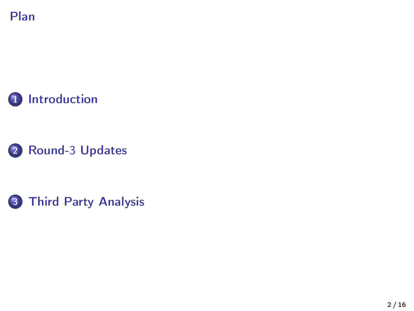





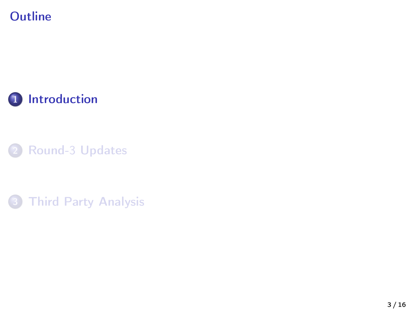## <span id="page-2-0"></span>**Outline**



2 Round-3 [Updates](#page-8-0)

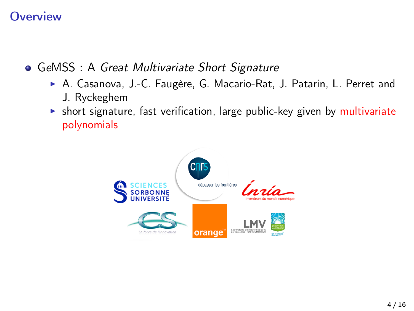#### **Overview**

**• GeMSS**: A Great Multivariate Short Signature

- A. Casanova, J.-C. Faugère, G. Macario-Rat, J. Patarin, L. Perret and J. Ryckeghem
- $\triangleright$  short signature, fast verification, large public-key given by multivariate polynomials

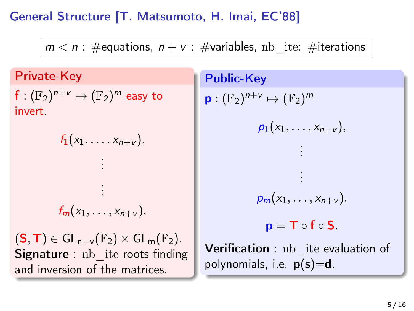#### General Structure [T. Matsumoto, H. Imai, EC'88]

 $m < n$ : #equations,  $n + v$ : #variables, nb ite: #iterations

Private-Key

 $\textsf{f}:(\mathbb{F}_2)^{n+\nu}\mapsto (\mathbb{F}_2)^m$  easy to invert.

> .  $f_m(x_1, \ldots, x_{n+\nu}).$

 $f_1(x_1, \ldots, x_{n+\nu}),$ . . . . .

 $(S, T) \in GL_{n+v}(\mathbb{F}_2) \times GL_m(\mathbb{F}_2).$ **Signature** : nb ite roots finding and inversion of the matrices.

Public-Key  $\mathsf{p}:(\mathbb{F}_2)^{n+\mathsf{v}}\mapsto (\mathbb{F}_2)^m$  $p_1(x_1, \ldots, x_{n+\nu}),$ . . . . . .  $p_m(x_1, \ldots, x_{n+\nu}).$  $p = T \circ f \circ S$ . Verification : nb ite evaluation of polynomials, i.e.  $p(s)=d$ .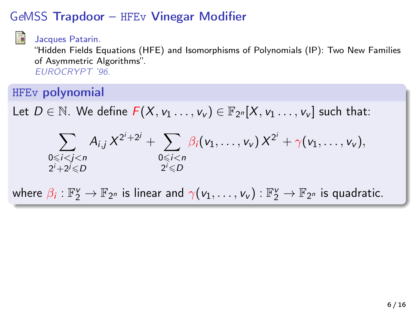#### GeMSS Trapdoor – HFEv Vinegar Modifier



Jacques Patarin.

"Hidden Fields Equations (HFE) and Isomorphisms of Polynomials (IP): Two New Families of Asymmetric Algorithms". EUROCRYPT '96.

#### HFEv polynomial

Let  $D \in \mathbb{N}$ . We define  $F(X, v_1 \ldots, v_v) \in \mathbb{F}_{2^n}[X, v_1 \ldots, v_v]$  such that:

$$
\sum_{\substack{0 \leqslant i < j < n \\ 2^i + 2^j \leqslant D}} A_{i,j} X^{2^i + 2^j} + \sum_{\substack{0 \leqslant i < n \\ 2^i \leqslant D}} \beta_i(v_1, \ldots, v_\nu) X^{2^i} + \gamma(v_1, \ldots, v_\nu),
$$

where  $\beta_i:\mathbb{F}_2^\vee\to\mathbb{F}_{2^n}$  is linear and  $\gamma(v_1,\ldots,v_\nu):\mathbb{F}_2^\vee\to\mathbb{F}_{2^n}$  is quadratic.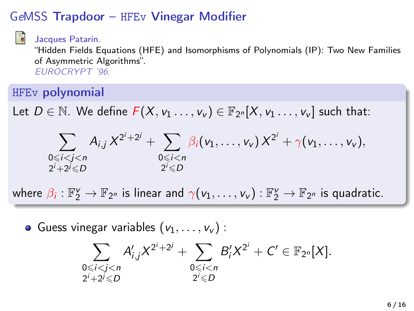#### GeMSS Trapdoor – HFEv Vinegar Modifier



Jacques Patarin.

"Hidden Fields Equations (HFE) and Isomorphisms of Polynomials (IP): Two New Families of Asymmetric Algorithms". EUROCRYPT '96.

#### HFEv polynomial

Let  $D \in \mathbb{N}$ . We define  $F(X, v_1 \ldots, v_v) \in \mathbb{F}_{2^n}[X, v_1 \ldots, v_v]$  such that:

$$
\sum_{\substack{0 \leq i < j < n \\ 2^i + 2^j \leq D}} A_{i,j} X^{2^i + 2^j} + \sum_{\substack{0 \leq i < n \\ 2^i \leq D}} \beta_i(v_1, \ldots, v_\nu) X^{2^i} + \gamma(v_1, \ldots, v_\nu),
$$

where  $\beta_i:\mathbb{F}_2^\vee\to\mathbb{F}_{2^n}$  is linear and  $\gamma(v_1,\ldots,v_\nu):\mathbb{F}_2^\vee\to\mathbb{F}_{2^n}$  is quadratic.

• Guess vinegar variables  $(v_1, \ldots, v_\nu)$ :

$$
\sum_{\substack{0 \le i < j < n \\ 2^i + 2^j \le D}} A'_{i,j} X^{2^i + 2^j} + \sum_{\substack{0 \le i < n \\ 2^i \le D}} B'_i X^{2^i} + C' \in \mathbb{F}_{2^n}[X].
$$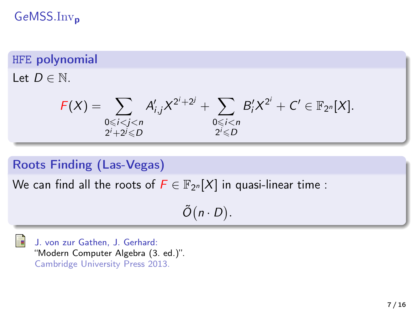GeMSS.Inv<sub>p</sub>

#### HFE polynomial

Let  $D \in \mathbb{N}$ .

$$
F(X) = \sum_{\substack{0 \le i < j < n \\ 2^i + 2^j \le D}} A'_{i,j} X^{2^i + 2^j} + \sum_{\substack{0 \le i < n \\ 2^i \le D}} B'_i X^{2^i} + C' \in \mathbb{F}_{2^n}[X].
$$

#### Roots Finding (Las-Vegas)

We can find all the roots of  $\bar{F} \in \mathbb{F}_{2^n}[X]$  in quasi-linear time :

 $\tilde{O}(n \cdot D)$ .

J. von zur Gathen, J. Gerhard: "Modern Computer Algebra (3. ed.)". Cambridge University Press 2013.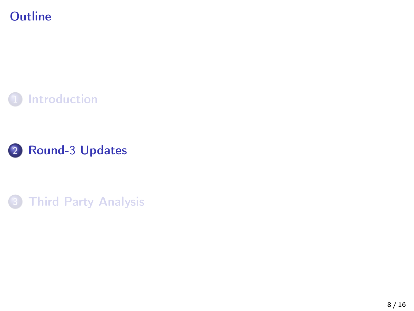## <span id="page-8-0"></span>**Outline**





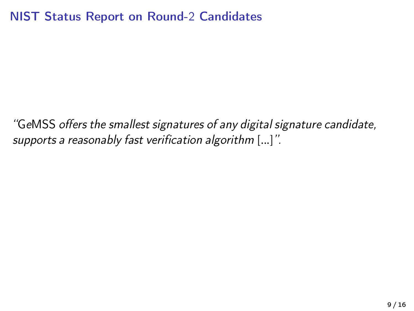#### NIST Status Report on Round-2 Candidates

"GeMSS offers the smallest signatures of any digital signature candidate, supports a reasonably fast verification algorithm [...]".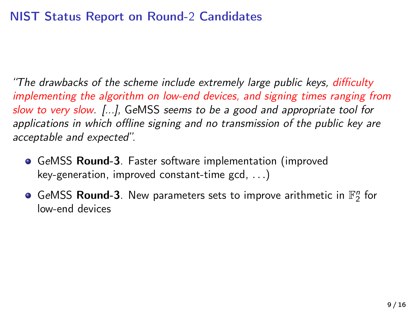#### NIST Status Report on Round-2 Candidates

"The drawbacks of the scheme include extremely large public keys, difficulty implementing the algorithm on low-end devices, and signing times ranging from slow to very slow. [...], GeMSS seems to be a good and appropriate tool for applications in which offline signing and no transmission of the public key are acceptable and expected".

- **GeMSS Round-3**. Faster software implementation (improved key-generation, improved constant-time gcd, . . .)
- GeMSS Round-3. New parameters sets to improve arithmetic in  $\mathbb{F}_2^n$  for low-end devices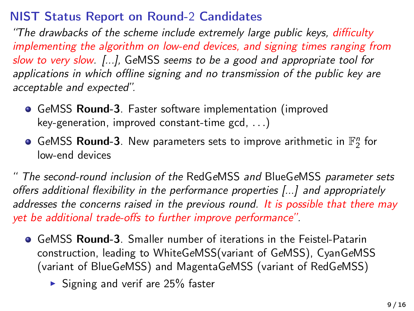#### NIST Status Report on Round-2 Candidates

"The drawbacks of the scheme include extremely large public keys, difficulty implementing the algorithm on low-end devices, and signing times ranging from slow to very slow. [...], GeMSS seems to be a good and appropriate tool for applications in which offline signing and no transmission of the public key are acceptable and expected".

- GeMSS Round-3. Faster software implementation (improved key-generation, improved constant-time gcd, . . .)
- GeMSS Round-3. New parameters sets to improve arithmetic in  $\mathbb{F}_2^n$  for low-end devices

" The second-round inclusion of the RedGeMSS and BlueGeMSS parameter sets offers additional flexibility in the performance properties [...] and appropriately addresses the concerns raised in the previous round. It is possible that there may yet be additional trade-offs to further improve performance".

- GeMSS Round-3. Smaller number of iterations in the Feistel-Patarin construction, leading to WhiteGeMSS(variant of GeMSS), CyanGeMSS (variant of BlueGeMSS) and MagentaGeMSS (variant of RedGeMSS)
	- $\triangleright$  Signing and verif are 25% faster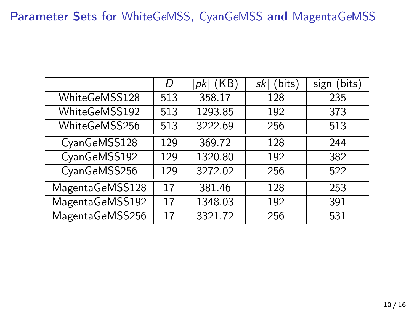#### Parameter Sets for WhiteGeMSS, CyanGeMSS and MagentaGeMSS

|                 | D   | (KB)<br>$p$ <sub>k</sub> | (bits)<br>sk | (bits)<br>sign |
|-----------------|-----|--------------------------|--------------|----------------|
| WhiteGeMSS128   | 513 | 358.17                   | 128          | 235            |
| WhiteGeMSS192   | 513 | 1293.85                  | 192          | 373            |
| WhiteGeMSS256   | 513 | 3222.69                  | 256          | 513            |
| CyanGeMSS128    | 129 | 369.72                   | 128          | 244            |
| CyanGeMSS192    | 129 | 1320.80                  | 192          | 382            |
| CyanGeMSS256    | 129 | 3272.02                  | 256          | 522            |
| MagentaGeMSS128 | 17  | 381.46                   | 128          | 253            |
| MagentaGeMSS192 | 17  | 1348.03                  | 192          | 391            |
| MagentaGeMSS256 | 17  | 3321.72                  | 256          | 531            |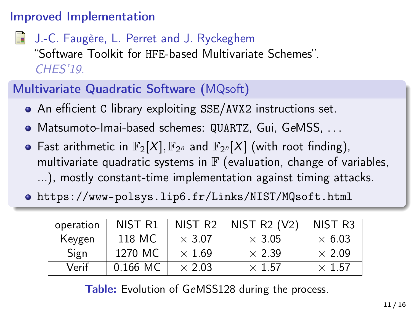#### Improved Implementation

J.-C. Faugère, L. Perret and J. Ryckeghem "Software Toolkit for HFE-based Multivariate Schemes". CHES'19.

## Multivariate Quadratic Software (MQsoft)

- An efficient C library exploiting SSE/AVX2 instructions set.
- Matsumoto-Imai-based schemes: QUARTZ, Gui, GeMSS, . . .
- Fast arithmetic in  $\mathbb{F}_2[X], \mathbb{F}_{2^n}$  and  $\mathbb{F}_{2^n}[X]$  (with root finding), multivariate quadratic systems in  $\mathbb F$  (evaluation, change of variables, ...), mostly constant-time implementation against timing attacks.
- <https://www-polsys.lip6.fr/Links/NIST/MQsoft.html>

| operation | NIST R1    | NIST R <sub>2</sub> | NIST $R2 (V2)$ | NIST R3       |
|-----------|------------|---------------------|----------------|---------------|
| Keygen    | 118 MC     | $\times$ 3.07       | $\times$ 3.05  | $\times$ 6.03 |
| Sign      | 1270 MC    | $\times$ 1.69       | $\times$ 2.39  | $\times$ 2.09 |
| Verif     | $0.166$ MC | $\times$ 2.03       | $\times$ 1.57  | $\times$ 1.57 |

Table: Evolution of GeMSS128 during the process.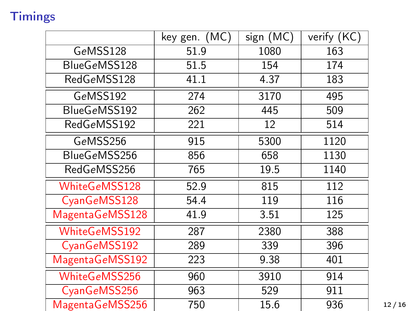## **Timings**

|                 | key gen. (MC) | sign (MC) | verify (KC) |
|-----------------|---------------|-----------|-------------|
| GeMSS128        | 51.9          | 1080      | 163         |
| BlueGeMSS128    | 51.5          | 154       | 174         |
| RedGeMSS128     | 41.1          | 4.37      | 183         |
| GeMSS192        | 274           | 3170      | 495         |
| BlueGeMSS192    | 262           | 445       | 509         |
| RedGeMSS192     | 221           | 12        | 514         |
| GeMSS256        | 915           | 5300      | 1120        |
| BlueGeMSS256    | 856           | 658       | 1130        |
| RedGeMSS256     | 765           | 19.5      | 1140        |
| WhiteGeMSS128   | 52.9          | 815       | 112         |
| CyanGeMSS128    | 54.4          | 119       | 116         |
| MagentaGeMSS128 | 41.9          | 3.51      | 125         |
| WhiteGeMSS192   | 287           | 2380      | 388         |
| CyanGeMSS192    | 289           | 339       | 396         |
| MagentaGeMSS192 | 223           | 9.38      | 401         |
| WhiteGeMSS256   | 960           | 3910      | 914         |
| CyanGeMSS256    | 963           | 529       | 911         |
| MagentaGeMSS256 | 750           | 15.6      | 936         |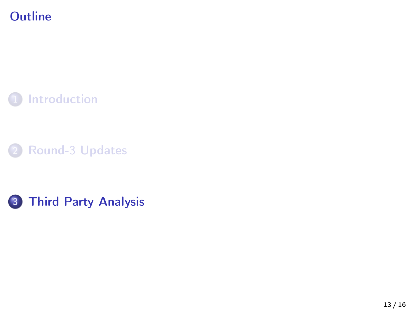## <span id="page-15-0"></span>**Outline**





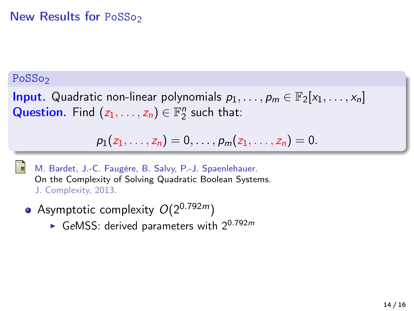#### New Results for PoSSo<sub>2</sub>

#### PoSSo<sub>2</sub>

**Input.** Quadratic non-linear polynomials  $p_1, \ldots, p_m \in \mathbb{F}_2[x_1, \ldots, x_n]$ Question. Find  $(z_1, \ldots, z_n) \in \mathbb{F}_2^n$  such that:

$$
p_1(z_1,...,z_n) = 0, ..., p_m(z_1,...,z_n) = 0.
$$



M. Bardet, J.-C. Faugère, B. Salvy, P.-J. Spaenlehauer. On the Complexity of Solving Quadratic Boolean Systems. J. Complexity, 2013.

- Asymptotic complexity  $O(2^{0.792m})$ 
	- GeMSS: derived parameters with  $2^{0.792m}$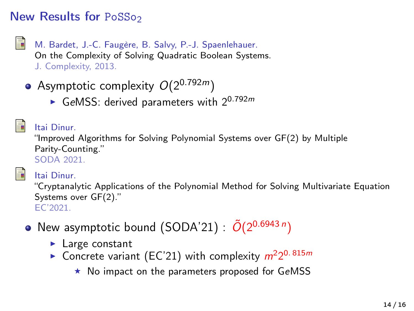#### New Results for PoSSo<sub>2</sub>

- 
- M. Bardet, J.-C. Faugère, B. Salvy, P.-J. Spaenlehauer. On the Complexity of Solving Quadratic Boolean Systems. J. Complexity, 2013.
- Asymptotic complexity  $O(2^{0.792m})$ 
	- GeMSS: derived parameters with  $2^{0.792m}$



#### Itai Dinur.

"Improved Algorithms for Solving Polynomial Systems over GF(2) by Multiple Parity-Counting." SODA 2021.



#### Itai Dinur.

"Cryptanalytic Applications of the Polynomial Method for Solving Multivariate Equation Systems over GF(2)." EC'2021.

- New asymptotic bound (SODA'21) :  $\tilde{O}(2^{0.6943\,n})$ 
	- $\blacktriangleright$  Large constant
	- Concrete variant (EC'21) with complexity  $m^2 2^{0.815m}$ 
		- $\star$  No impact on the parameters proposed for GeMSS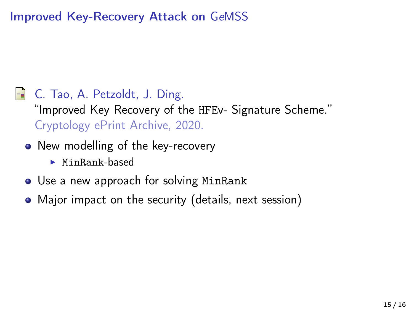#### Improved Key-Recovery Attack on GeMSS

#### C. Tao, A. Petzoldt, J. Ding. 譶

"Improved Key Recovery of the HFEv- Signature Scheme." Cryptology ePrint Archive, 2020.

- New modelling of the key-recovery
	- $\blacktriangleright$  MinRank-based
- Use a new approach for solving MinRank
- Major impact on the security (details, next session)